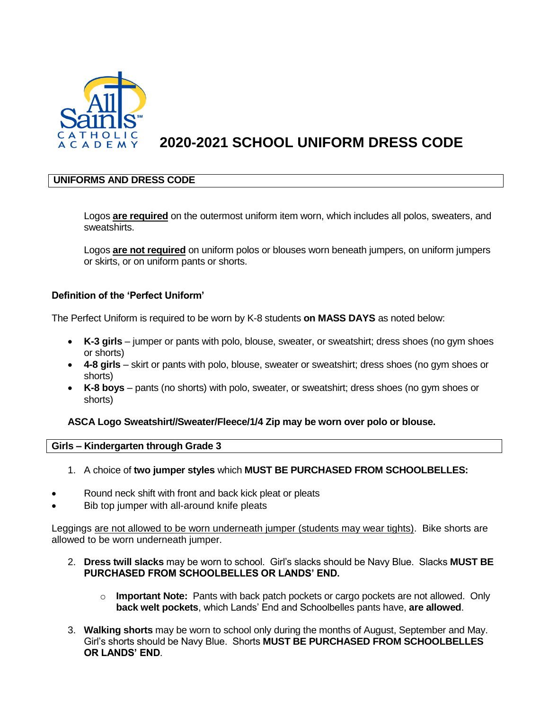

# **2020-2021 SCHOOL UNIFORM DRESS CODE**

# **UNIFORMS AND DRESS CODE**

Logos **are required** on the outermost uniform item worn, which includes all polos, sweaters, and sweatshirts.

Logos **are not required** on uniform polos or blouses worn beneath jumpers, on uniform jumpers or skirts, or on uniform pants or shorts.

# **Definition of the 'Perfect Uniform'**

The Perfect Uniform is required to be worn by K-8 students **on MASS DAYS** as noted below:

- **K-3 girls** jumper or pants with polo, blouse, sweater, or sweatshirt; dress shoes (no gym shoes or shorts)
- **4-8 girls** skirt or pants with polo, blouse, sweater or sweatshirt; dress shoes (no gym shoes or shorts)
- **K-8 boys** pants (no shorts) with polo, sweater, or sweatshirt; dress shoes (no gym shoes or shorts)

# **ASCA Logo Sweatshirt//Sweater/Fleece/1/4 Zip may be worn over polo or blouse.**

#### **Girls – Kindergarten through Grade 3**

- 1. A choice of **two jumper styles** which **MUST BE PURCHASED FROM SCHOOLBELLES:**
- Round neck shift with front and back kick pleat or pleats
- Bib top jumper with all-around knife pleats

Leggings are not allowed to be worn underneath jumper (students may wear tights). Bike shorts are allowed to be worn underneath jumper.

- 2. **Dress twill slacks** may be worn to school. Girl's slacks should be Navy Blue. Slacks **MUST BE PURCHASED FROM SCHOOLBELLES OR LANDS' END.** 
	- o **Important Note:** Pants with back patch pockets or cargo pockets are not allowed. Only **back welt pockets**, which Lands' End and Schoolbelles pants have, **are allowed**.
- 3. **Walking shorts** may be worn to school only during the months of August, September and May. Girl's shorts should be Navy Blue. Shorts **MUST BE PURCHASED FROM SCHOOLBELLES OR LANDS' END**.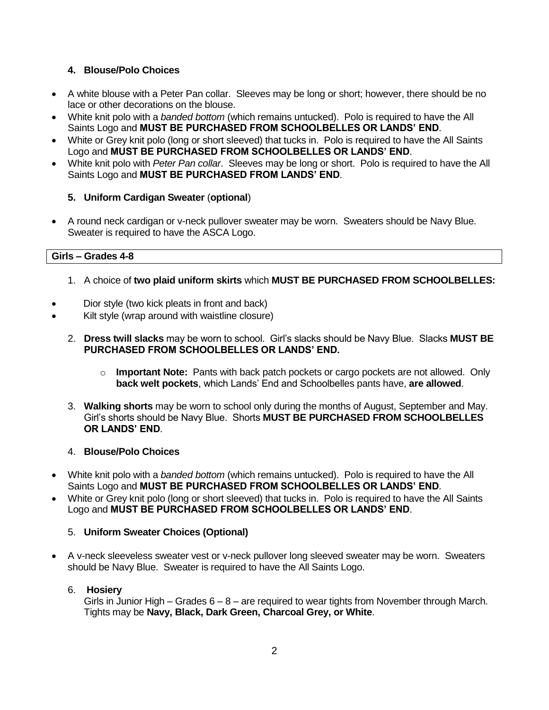# **4. Blouse/Polo Choices**

- A white blouse with a Peter Pan collar. Sleeves may be long or short; however, there should be no lace or other decorations on the blouse.
- White knit polo with a *banded bottom* (which remains untucked). Polo is required to have the All Saints Logo and **MUST BE PURCHASED FROM SCHOOLBELLES OR LANDS' END**.
- White or Grey knit polo (long or short sleeved) that tucks in. Polo is required to have the All Saints Logo and **MUST BE PURCHASED FROM SCHOOLBELLES OR LANDS' END**.
- White knit polo with *Peter Pan collar*. Sleeves may be long or short. Polo is required to have the All Saints Logo and **MUST BE PURCHASED FROM LANDS' END**.

# **5. Uniform Cardigan Sweater** (**optional**)

 A round neck cardigan or v-neck pullover sweater may be worn. Sweaters should be Navy Blue. Sweater is required to have the ASCA Logo.

# **Girls – Grades 4-8**

- 1. A choice of **two plaid uniform skirts** which **MUST BE PURCHASED FROM SCHOOLBELLES:**
- Dior style (two kick pleats in front and back)
- Kilt style (wrap around with waistline closure)
	- 2. **Dress twill slacks** may be worn to school. Girl's slacks should be Navy Blue. Slacks **MUST BE PURCHASED FROM SCHOOLBELLES OR LANDS' END.** 
		- o **Important Note:** Pants with back patch pockets or cargo pockets are not allowed. Only **back welt pockets**, which Lands' End and Schoolbelles pants have, **are allowed**.
	- 3. **Walking shorts** may be worn to school only during the months of August, September and May. Girl's shorts should be Navy Blue. Shorts **MUST BE PURCHASED FROM SCHOOLBELLES OR LANDS' END**.

# 4. **Blouse/Polo Choices**

- White knit polo with a *banded bottom* (which remains untucked). Polo is required to have the All Saints Logo and **MUST BE PURCHASED FROM SCHOOLBELLES OR LANDS' END**.
- White or Grey knit polo (long or short sleeved) that tucks in. Polo is required to have the All Saints Logo and **MUST BE PURCHASED FROM SCHOOLBELLES OR LANDS' END**.

# 5. **Uniform Sweater Choices (Optional)**

 A v-neck sleeveless sweater vest or v-neck pullover long sleeved sweater may be worn. Sweaters should be Navy Blue. Sweater is required to have the All Saints Logo.

#### 6. **Hosiery**

Girls in Junior High – Grades  $6 - 8$  – are required to wear tights from November through March. Tights may be **Navy, Black, Dark Green, Charcoal Grey, or White**.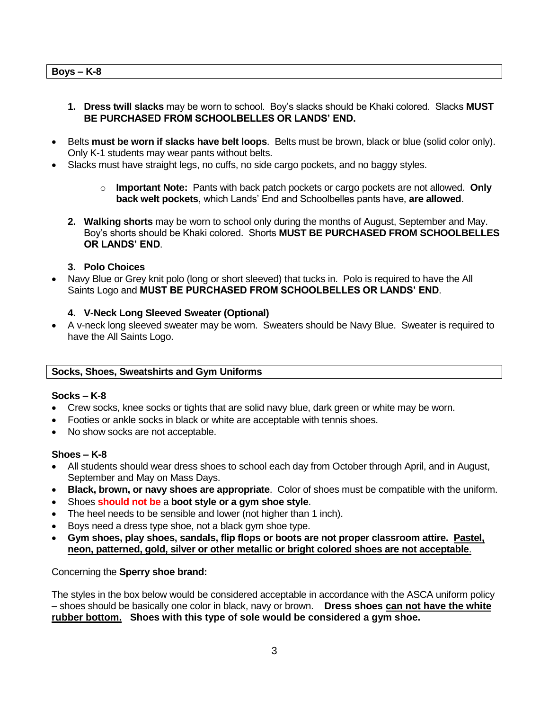- **1. Dress twill slacks** may be worn to school. Boy's slacks should be Khaki colored. Slacks **MUST BE PURCHASED FROM SCHOOLBELLES OR LANDS' END.**
- Belts **must be worn if slacks have belt loops**. Belts must be brown, black or blue (solid color only). Only K-1 students may wear pants without belts.
- Slacks must have straight legs, no cuffs, no side cargo pockets, and no baggy styles.
	- o **Important Note:** Pants with back patch pockets or cargo pockets are not allowed. **Only back welt pockets**, which Lands' End and Schoolbelles pants have, **are allowed**.
	- **2. Walking shorts** may be worn to school only during the months of August, September and May. Boy's shorts should be Khaki colored. Shorts **MUST BE PURCHASED FROM SCHOOLBELLES OR LANDS' END**.
	- **3. Polo Choices**
- Navy Blue or Grey knit polo (long or short sleeved) that tucks in. Polo is required to have the All Saints Logo and **MUST BE PURCHASED FROM SCHOOLBELLES OR LANDS' END**.

### **4. V-Neck Long Sleeved Sweater (Optional)**

 A v-neck long sleeved sweater may be worn. Sweaters should be Navy Blue. Sweater is required to have the All Saints Logo.

#### **Socks, Shoes, Sweatshirts and Gym Uniforms**

#### **Socks – K-8**

- Crew socks, knee socks or tights that are solid navy blue, dark green or white may be worn.
- Footies or ankle socks in black or white are acceptable with tennis shoes.
- No show socks are not acceptable.

#### **Shoes – K-8**

- All students should wear dress shoes to school each day from October through April, and in August, September and May on Mass Days.
- **Black, brown, or navy shoes are appropriate**. Color of shoes must be compatible with the uniform.
- Shoes **should not be** a **boot style or a gym shoe style**.
- The heel needs to be sensible and lower (not higher than 1 inch).
- Bovs need a dress type shoe, not a black gym shoe type.
- **Gym shoes, play shoes, sandals, flip flops or boots are not proper classroom attire. Pastel, neon, patterned, gold, silver or other metallic or bright colored shoes are not acceptable**.

#### Concerning the **Sperry shoe brand:**

The styles in the box below would be considered acceptable in accordance with the ASCA uniform policy – shoes should be basically one color in black, navy or brown. **Dress shoes can not have the white rubber bottom. Shoes with this type of sole would be considered a gym shoe.**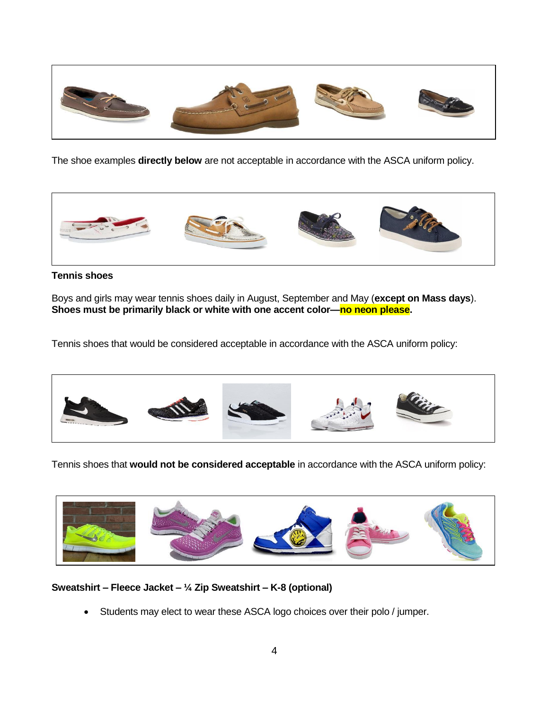

The shoe examples **directly below** are not acceptable in accordance with the ASCA uniform policy.



# **Tennis shoes**

Boys and girls may wear tennis shoes daily in August, September and May (**except on Mass days**). **Shoes must be primarily black or white with one accent color—no neon please.**

Tennis shoes that would be considered acceptable in accordance with the ASCA uniform policy:



Tennis shoes that **would not be considered acceptable** in accordance with the ASCA uniform policy:



**Sweatshirt – Fleece Jacket – ¼ Zip Sweatshirt – K-8 (optional)**

Students may elect to wear these ASCA logo choices over their polo / jumper.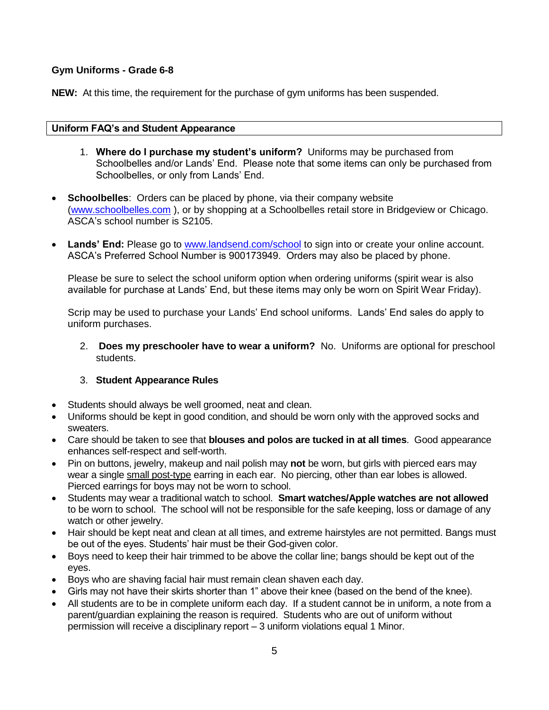# **Gym Uniforms - Grade 6-8**

**NEW:** At this time, the requirement for the purchase of gym uniforms has been suspended.

### **Uniform FAQ's and Student Appearance**

- 1. **Where do I purchase my student's uniform?** Uniforms may be purchased from Schoolbelles and/or Lands' End. Please note that some items can only be purchased from Schoolbelles, or only from Lands' End.
- **Schoolbelles**: Orders can be placed by phone, via their company website [\(www.schoolbelles.com](http://www.schoolbelles.com/) ), or by shopping at a Schoolbelles retail store in Bridgeview or Chicago. ASCA's school number is S2105.
- Lands' End: Please go to [www.landsend.com/school](http://www.landsend.com/school) to sign into or create your online account. ASCA's Preferred School Number is 900173949. Orders may also be placed by phone.

Please be sure to select the school uniform option when ordering uniforms (spirit wear is also available for purchase at Lands' End, but these items may only be worn on Spirit Wear Friday).

Scrip may be used to purchase your Lands' End school uniforms. Lands' End sales do apply to uniform purchases.

2. **Does my preschooler have to wear a uniform?** No. Uniforms are optional for preschool students.

# 3. **Student Appearance Rules**

- Students should always be well groomed, neat and clean.
- Uniforms should be kept in good condition, and should be worn only with the approved socks and sweaters.
- Care should be taken to see that **blouses and polos are tucked in at all times**. Good appearance enhances self-respect and self-worth.
- Pin on buttons, jewelry, makeup and nail polish may **not** be worn, but girls with pierced ears may wear a single small post-type earring in each ear. No piercing, other than ear lobes is allowed. Pierced earrings for boys may not be worn to school.
- Students may wear a traditional watch to school. **Smart watches/Apple watches are not allowed** to be worn to school. The school will not be responsible for the safe keeping, loss or damage of any watch or other jewelry.
- Hair should be kept neat and clean at all times, and extreme hairstyles are not permitted. Bangs must be out of the eyes. Students' hair must be their God-given color.
- Boys need to keep their hair trimmed to be above the collar line; bangs should be kept out of the eyes.
- Boys who are shaving facial hair must remain clean shaven each day.
- Girls may not have their skirts shorter than 1" above their knee (based on the bend of the knee).
- All students are to be in complete uniform each day. If a student cannot be in uniform, a note from a parent/guardian explaining the reason is required. Students who are out of uniform without permission will receive a disciplinary report – 3 uniform violations equal 1 Minor.